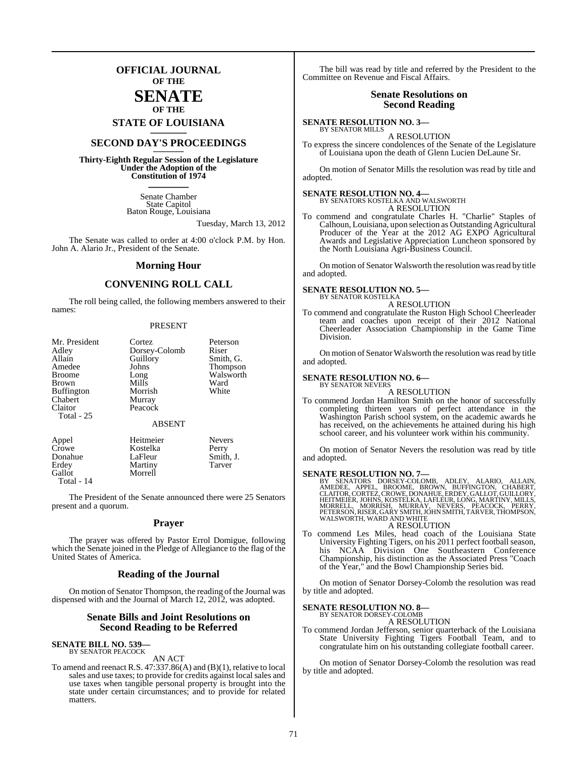### **OFFICIAL JOURNAL OF THE**

### **SENATE OF THE**

## **STATE OF LOUISIANA \_\_\_\_\_\_\_**

### **SECOND DAY'S PROCEEDINGS \_\_\_\_\_\_\_**

**Thirty-Eighth Regular Session of the Legislature Under the Adoption of the Constitution of 1974 \_\_\_\_\_\_\_**

> Senate Chamber State Capitol Baton Rouge, Louisiana

> > Tuesday, March 13, 2012

The Senate was called to order at 4:00 o'clock P.M. by Hon. John A. Alario Jr., President of the Senate.

### **Morning Hour**

### **CONVENING ROLL CALL**

The roll being called, the following members answered to their names:

#### PRESENT

| Mr. President     | Cortez        | Peterson        |
|-------------------|---------------|-----------------|
| Adley             | Dorsey-Colomb | Riser           |
| Allain            | Guillory      | Smith, G.       |
| Amedee            | Johns         | <b>Thompson</b> |
| <b>Broome</b>     | Long          | Walsworth       |
| Brown             | Mills         | Ward            |
| <b>Buffington</b> | Morrish       | White           |
| Chabert           | Murray        |                 |
| Claitor           | Peacock       |                 |
| Total - 25        |               |                 |
|                   | <b>ABSENT</b> |                 |
| Appel             | Heitmeier     | <b>Nevers</b>   |
| Crowe             | Kostelka      | Perry           |

| Crowe      | <b>N</b> osieika | <b>relly</b> |
|------------|------------------|--------------|
| Donahue    | LaFleur          | Smith, J.    |
| Erdey      | Martiny          | Tarver       |
| Gallot     | Morrell          |              |
| Total - 14 |                  |              |

The President of the Senate announced there were 25 Senators present and a quorum.

### **Prayer**

The prayer was offered by Pastor Errol Domigue, following which the Senate joined in the Pledge of Allegiance to the flag of the United States of America.

### **Reading of the Journal**

On motion of Senator Thompson, the reading of the Journal was dispensed with and the Journal of March 12, 2012, was adopted.

### **Senate Bills and Joint Resolutions on Second Reading to be Referred**

#### **SENATE BILL NO. 539—** BY SENATOR PEACOCK

AN ACT

To amend and reenact R.S. 47:337.86(A) and (B)(1), relative to local sales and use taxes; to provide for credits against local sales and use taxes when tangible personal property is brought into the state under certain circumstances; and to provide for related matters.

The bill was read by title and referred by the President to the Committee on Revenue and Fiscal Affairs.

### **Senate Resolutions on Second Reading**

### **SENATE RESOLUTION NO. 3—** BY SENATOR MILLS

A RESOLUTION To express the sincere condolences of the Senate of the Legislature of Louisiana upon the death of Glenn Lucien DeLaune Sr.

On motion of Senator Mills the resolution was read by title and adopted.

## **SENATE RESOLUTION NO. 4—** BY SENATORS KOSTELKA AND WALSWORTH

A RESOLUTION

To commend and congratulate Charles H. "Charlie" Staples of Calhoun, Louisiana, upon selection as Outstanding Agricultural Producer of the Year at the 2012 AG EXPO Agricultural Awards and Legislative Appreciation Luncheon sponsored by the North Louisiana Agri-Business Council.

On motion of Senator Walsworth the resolution was read by title and adopted.

### **SENATE RESOLUTION NO. 5—**

BY SENATOR KOSTELKA A RESOLUTION

To commend and congratulate the Ruston High School Cheerleader team and coaches upon receipt of their 2012 National Cheerleader Association Championship in the Game Time Division.

On motion of Senator Walsworth the resolution was read by title and adopted.

### **SENATE RESOLUTION NO. 6—** BY SENATOR NEVERS

A RESOLUTION

To commend Jordan Hamilton Smith on the honor of successfully completing thirteen years of perfect attendance in the Washington Parish school system, on the academic awards he has received, on the achievements he attained during his high school career, and his volunteer work within his community.

On motion of Senator Nevers the resolution was read by title and adopted.

**SENATE RESOLUTION NO. 7—**<br>BY SENATORS DORSEY-COLOMB, ADLEY, ALARIO, ALLAIN,<br>AMEDEE, APPEL, BROOME, BROWN, BUFFINGTON, CHABERT,<br>CLAITOR,CORTEZ, CROWE, DONAHUE, ERDEY, GALLOT, GUILLORY, HEITMEIËR, JOHNS, KOSTELKA, LAFLÉUR, LONG, MARTINY, MILLS,<br>MORRELL, MORRISH, MURRAY, NEVERS, PEACOCK, PERRY,<br>PETERSON, RISER, GARY SMITH, JOHN SMITH, TARVER, THOMPSON,<br>WALSWORTH, WARD AND WHITE A RESOLUTION

To commend Les Miles, head coach of the Louisiana State University Fighting Tigers, on his 2011 perfect football season, his NCAA Division One Southeastern Conference Championship, his distinction as the Associated Press "Coach of the Year," and the Bowl Championship Series bid.

On motion of Senator Dorsey-Colomb the resolution was read by title and adopted.

### **SENATE RESOLUTION NO. 8—**

BY SENATOR DORSEY-COLOMB A RESOLUTION

To commend Jordan Jefferson, senior quarterback of the Louisiana State University Fighting Tigers Football Team, and to congratulate him on his outstanding collegiate football career.

On motion of Senator Dorsey-Colomb the resolution was read by title and adopted.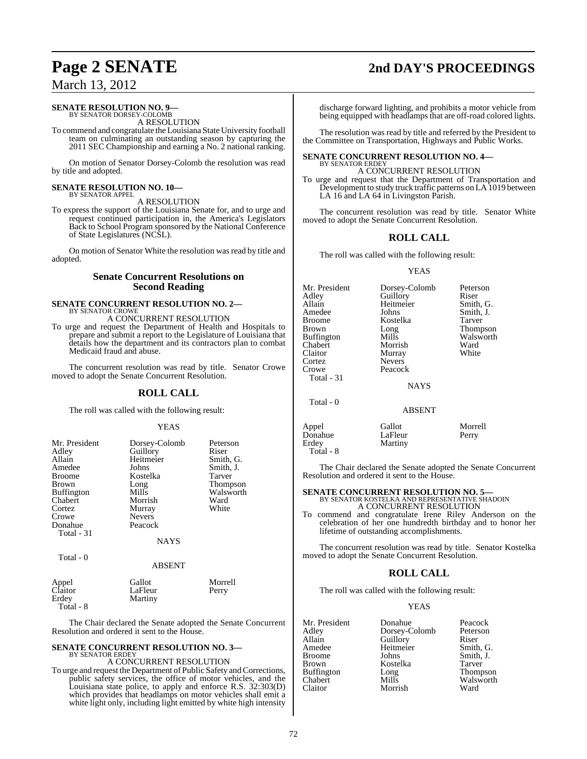#### **SENATE RESOLUTION NO. 9—** BY SENATOR DORSEY-COLOMB

A RESOLUTION

To commend and congratulate the Louisiana State University football team on culminating an outstanding season by capturing the 2011 SEC Championship and earning a No. 2 national ranking.

On motion of Senator Dorsey-Colomb the resolution was read by title and adopted.

#### **SENATE RESOLUTION NO. 10—** BY SENATOR APPEL

A RESOLUTION

To express the support of the Louisiana Senate for, and to urge and request continued participation in, the America's Legislators Back to School Program sponsored by the National Conference of State Legislatures (NCSL).

On motion of Senator White the resolution was read by title and adopted.

### **Senate Concurrent Resolutions on Second Reading**

### **SENATE CONCURRENT RESOLUTION NO. 2—** BY SENATOR CROWE A CONCURRENT RESOLUTION

To urge and request the Department of Health and Hospitals to prepare and submit a report to the Legislature of Louisiana that details how the department and its contractors plan to combat Medicaid fraud and abuse.

The concurrent resolution was read by title. Senator Crowe moved to adopt the Senate Concurrent Resolution.

### **ROLL CALL**

The roll was called with the following result:

### YEAS

| Mr. President<br>Adley<br>Allain<br>Amedee<br><b>Broome</b><br>Brown<br><b>Buffington</b><br>Chabert<br>Cortez<br>Crowe<br>Donahue<br><b>Total - 31</b> | Dorsey-Colomb<br>Guillory<br>Heitmeier<br>Johns<br>Kostelka<br>Long<br>Mills<br>Morrish<br>Murray<br><b>Nevers</b><br>Peacock | Peterson<br>Riser<br>Smith, G.<br>Smith, J.<br>Tarver<br><b>Thompson</b><br>Walsworth<br>Ward<br>White |
|---------------------------------------------------------------------------------------------------------------------------------------------------------|-------------------------------------------------------------------------------------------------------------------------------|--------------------------------------------------------------------------------------------------------|
|                                                                                                                                                         | <b>NAYS</b>                                                                                                                   |                                                                                                        |
| Total $-0$                                                                                                                                              | <b>ABSENT</b>                                                                                                                 |                                                                                                        |

| Appel<br>Claitor   | Gallot<br>LaFleur | Morrell<br>Perry |
|--------------------|-------------------|------------------|
| Erdev<br>Total - 8 | Martiny           |                  |

The Chair declared the Senate adopted the Senate Concurrent Resolution and ordered it sent to the House.

### **SENATE CONCURRENT RESOLUTION NO. 3—** BY SENATOR ERDEY

### A CONCURRENT RESOLUTION

To urge and request the Department of Public Safety and Corrections, public safety services, the office of motor vehicles, and the Louisiana state police, to apply and enforce R.S. 32:303(D) which provides that headlamps on motor vehicles shall emit a white light only, including light emitted by white high intensity

### **Page 2 SENATE 2nd DAY'S PROCEEDINGS**

discharge forward lighting, and prohibits a motor vehicle from being equipped with headlamps that are off-road colored lights.

The resolution was read by title and referred by the President to the Committee on Transportation, Highways and Public Works.

### **SENATE CONCURRENT RESOLUTION NO. 4—**

BY SENATOR ERDEY A CONCURRENT RESOLUTION

To urge and request that the Department of Transportation and Development to study truck traffic patterns on LA 1019 between LA 16 and LA 64 in Livingston Parish.

The concurrent resolution was read by title. Senator White moved to adopt the Senate Concurrent Resolution.

### **ROLL CALL**

The roll was called with the following result:

### YEAS

| Mr. President<br>Adley<br>Allain<br>Amedee<br>Broome<br>Brown<br>Buffington<br>Chabert<br>Claitor<br>Cortez<br>Crowe<br>Total - 31<br>Total - 0 | Dorsey-Colomb<br>Guillory<br>Heitmeier<br>Johns<br>Kostelka<br>Long<br>Mills<br>Morrish<br>Murray<br><b>Nevers</b><br>Peacock<br><b>NAYS</b><br><b>ABSENT</b> | Peterson<br>Riser<br>Smith, G.<br>Smith, J.<br>Tarver<br>Thompson<br>Walsworth<br>Ward<br>White |
|-------------------------------------------------------------------------------------------------------------------------------------------------|---------------------------------------------------------------------------------------------------------------------------------------------------------------|-------------------------------------------------------------------------------------------------|
| Appel                                                                                                                                           | Gallot                                                                                                                                                        | Morrell                                                                                         |
| Donahue                                                                                                                                         | LaFleur                                                                                                                                                       | Perry                                                                                           |

The Chair declared the Senate adopted the Senate Concurrent Resolution and ordered it sent to the House.

Martiny

**SENATE CONCURRENT RESOLUTION NO. 5—** BY SENATOR KOSTELKA AND REPRESENTATIVE SHADOIN A CONCURRENT RESOLUTION

To commend and congratulate Irene Riley Anderson on the celebration of her one hundredth birthday and to honor her lifetime of outstanding accomplishments.

The concurrent resolution was read by title. Senator Kostelka moved to adopt the Senate Concurrent Resolution.

### **ROLL CALL**

The roll was called with the following result:

### YEAS

Mr. President Donahue Peacock<br>Adley Dorsey-Colomb Peterson Adley Dorsey-Colomb<br>Allain Guillory Allain Cuillory Riser<br>Amedee Heitmeier Smith, G. Amedee Heitmeier<br>Broome Johns Broome Johns Smith, J.<br>Brown Kostelka Tarver Kostelka Tarver<br>Long Thompson Buffington Long<br>Chabert Mills Chabert Mills Mills Walsworth<br>Claitor Morrish Ward Morrish

Donahue<br>Erdev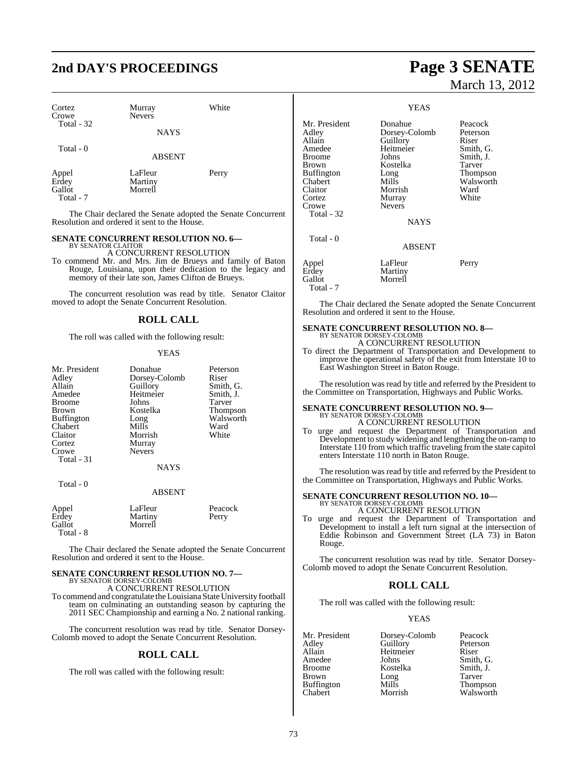### **2nd DAY'S PROCEEDINGS Page 3 SENATE**

| Cortez<br>Crowe<br>Total - 32         | Murray<br><b>Nevers</b><br><b>NAYS</b> | White |
|---------------------------------------|----------------------------------------|-------|
| Total - 0                             | <b>ABSENT</b>                          |       |
| Appel<br>Erdey<br>Gallot<br>Total - 7 | LaFleur<br>Martiny<br>Morrell          | Perry |

The Chair declared the Senate adopted the Senate Concurrent Resolution and ordered it sent to the House.

#### **SENATE CONCURRENT RESOLUTION NO. 6—** BY SENATOR CLAITOR

A CONCURRENT RESOLUTION

To commend Mr. and Mrs. Jim de Brueys and family of Baton Rouge, Louisiana, upon their dedication to the legacy and memory of their late son, James Clifton de Brueys.

The concurrent resolution was read by title. Senator Claitor moved to adopt the Senate Concurrent Resolution.

### **ROLL CALL**

The roll was called with the following result:

### YEAS

| Mr. President<br>Adley<br>Allain<br>Amedee<br>Broome<br>Brown<br><b>Buffington</b><br>Chabert<br>Claitor<br>Cortez<br>Crowe<br>Total - 31 | Donahue<br>Dorsey-Colomb<br>Guillory<br>Heitmeier<br>Johns<br>Kostelka<br>Long<br>Mills<br>Morrish<br>Murray<br><b>Nevers</b><br><b>NAYS</b> | Peterson<br>Riser<br>Smith, G.<br>Smith, J.<br>Tarver<br>Thompson<br>Walsworth<br>Ward<br>White |
|-------------------------------------------------------------------------------------------------------------------------------------------|----------------------------------------------------------------------------------------------------------------------------------------------|-------------------------------------------------------------------------------------------------|
| Total - 0                                                                                                                                 | <b>ABSENT</b>                                                                                                                                |                                                                                                 |
| Appel<br>Erdey<br>Gallot<br>Total - 8                                                                                                     | LaFleur<br>Martiny<br>Morrell                                                                                                                | Peacock<br>Perry                                                                                |

The Chair declared the Senate adopted the Senate Concurrent Resolution and ordered it sent to the House.

## **SENATE CONCURRENT RESOLUTION NO. 7—**<br>BY SENATOR DORSEY-COLOMB<br>A CONCURRENT RESOLUTION

To commend and congratulate the Louisiana State University football team on culminating an outstanding season by capturing the 2011 SEC Championship and earning a No. 2 national ranking.

The concurrent resolution was read by title. Senator Dorsey-Colomb moved to adopt the Senate Concurrent Resolution.

### **ROLL CALL**

The roll was called with the following result:

# March 13, 2012

### YEAS

| Mr. President<br>Adley<br>Allain<br>Amedee<br>Broome<br>Brown<br>Buffington<br>Chabert<br>Claitor<br>Cortez<br>Crowe<br>Total - 32 | Donahue<br>Dorsey-Colomb<br>Guillory<br>Heitmeier<br>Johns<br>Kostelka<br>Long<br>Mills<br>Morrish<br>Murray<br><b>Nevers</b><br><b>NAYS</b> | Peacock<br>Peterson<br>Riser<br>Smith, G.<br>Smith, J.<br>Tarver<br>Thompson<br>Walsworth<br>Ward<br>White |
|------------------------------------------------------------------------------------------------------------------------------------|----------------------------------------------------------------------------------------------------------------------------------------------|------------------------------------------------------------------------------------------------------------|
| Total - 0                                                                                                                          | <b>ABSENT</b>                                                                                                                                |                                                                                                            |
| Appel<br>Erdey<br>Gallot<br>Total - 7                                                                                              | LaFleur<br>Martiny<br>Morrell                                                                                                                | Perry                                                                                                      |

The Chair declared the Senate adopted the Senate Concurrent Resolution and ordered it sent to the House.

### **SENATE CONCURRENT RESOLUTION NO. 8—** BY SENATOR DORSEY-COLOMB A CONCURRENT RESOLUTION

To direct the Department of Transportation and Development to improve the operational safety of the exit from Interstate 10 to East Washington Street in Baton Rouge.

The resolution was read by title and referred by the President to the Committee on Transportation, Highways and Public Works.

## **SENATE CONCURRENT RESOLUTION NO. 9—**<br>BY SENATOR DORSEY-COLOMB<br>A CONCURRENT RESOLUTION

To urge and request the Department of Transportation and Development to study widening and lengthening the on-ramp to Interstate 110 from which traffic traveling from the state capitol enters Interstate 110 north in Baton Rouge.

The resolution was read by title and referred by the President to the Committee on Transportation, Highways and Public Works.

## **SENATE CONCURRENT RESOLUTION NO. 10—** BY SENATOR DORSEY-COLOMB

A CONCURRENT RESOLUTION

To urge and request the Department of Transportation and Development to install a left turn signal at the intersection of Eddie Robinson and Government Street (LA 73) in Baton Rouge.

The concurrent resolution was read by title. Senator Dorsey-Colomb moved to adopt the Senate Concurrent Resolution.

### **ROLL CALL**

The roll was called with the following result:

### YEAS

Mr. President Dorsey-Colomb Peacock<br>Adley Guillory Peterson Adley Guillory Peters<br>Allain Heitmeier Riser Allain Heitmeier<br>Amedee Johns Amedee Johns Smith, G.<br>Broome Kostelka Smith, J. Broome Kostelka Smith, J.<br>Brown Long Tarver Brown Long Tarver Buffington Mills Thompson

Walsworth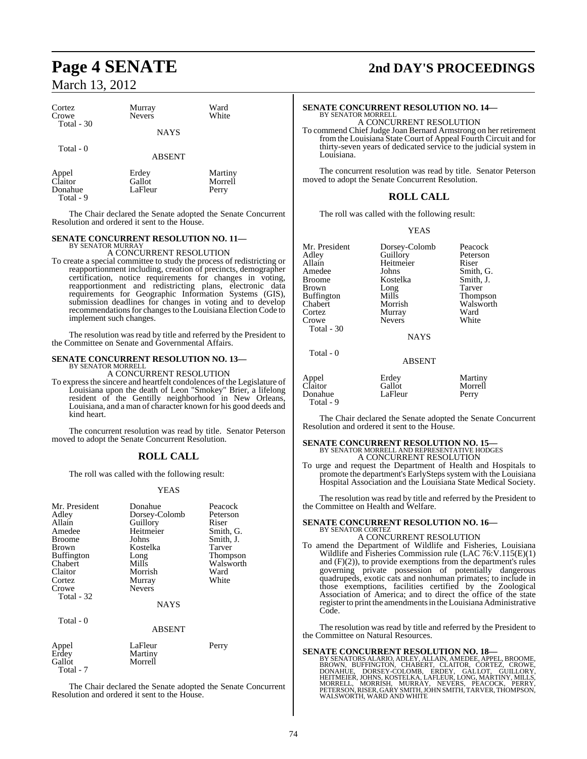Donahue Total - 9

| Cortez<br>Crowe<br>Total - 30 | Murray<br><b>Nevers</b><br><b>NAYS</b> | Ward<br>White               |  |
|-------------------------------|----------------------------------------|-----------------------------|--|
| Total $-0$                    | <b>ABSENT</b>                          |                             |  |
| Appel<br>Claitor<br>Donahue   | Erdey<br>Gallot<br>LaFleur             | Martiny<br>Morrell<br>Perry |  |

The Chair declared the Senate adopted the Senate Concurrent Resolution and ordered it sent to the House.

#### **SENATE CONCURRENT RESOLUTION NO. 11—** BY SENATOR MURRAY

### A CONCURRENT RESOLUTION

To create a special committee to study the process of redistricting or reapportionment including, creation of precincts, demographer certification, notice requirements for changes in voting, reapportionment and redistricting plans, electronic data requirements for Geographic Information Systems (GIS), submission deadlines for changes in voting and to develop recommendations for changes to the Louisiana Election Code to implement such changes.

The resolution was read by title and referred by the President to the Committee on Senate and Governmental Affairs.

### **SENATE CONCURRENT RESOLUTION NO. 13—** BY SENATOR MORRELL

A CONCURRENT RESOLUTION

To expressthe sincere and heartfelt condolences of the Legislature of Louisiana upon the death of Leon "Smokey" Brier, a lifelong resident of the Gentilly neighborhood in New Orleans, Louisiana, and a man of character known for his good deeds and kind heart.

The concurrent resolution was read by title. Senator Peterson moved to adopt the Senate Concurrent Resolution.

### **ROLL CALL**

The roll was called with the following result:

#### **YEAS**

| Mr. President<br>Adley<br>Allain<br>Amedee<br><b>Broome</b><br>Brown<br><b>Buffington</b><br>Chabert<br>Claitor<br>Cortez<br>Crowe<br>Total - 32<br>Total - 0 | Donahue<br>Dorsey-Colomb<br>Guillory<br>Heitmeier<br>Johns<br>Kostelka<br>Long<br>Mills<br>Morrish<br>Murray<br><b>Nevers</b><br><b>NAYS</b><br><b>ABSENT</b> | Peacock<br>Peterson<br>Riser<br>Smith, G.<br>Smith, J.<br>Tarver<br><b>Thompson</b><br>Walsworth<br>Ward<br>White |
|---------------------------------------------------------------------------------------------------------------------------------------------------------------|---------------------------------------------------------------------------------------------------------------------------------------------------------------|-------------------------------------------------------------------------------------------------------------------|
| Appel<br>Erdey<br>Gallot                                                                                                                                      | LaFleur<br>Martiny<br>Morrell                                                                                                                                 | Perry                                                                                                             |

The Chair declared the Senate adopted the Senate Concurrent Resolution and ordered it sent to the House.

Total - 7

### **Page 4 SENATE 2nd DAY'S PROCEEDINGS**

### **SENATE CONCURRENT RESOLUTION NO. 14—** BY SENATOR MORRELL

A CONCURRENT RESOLUTION

To commend ChiefJudge Joan Bernard Armstrong on her retirement fromthe Louisiana State Court of Appeal Fourth Circuit and for thirty-seven years of dedicated service to the judicial system in Louisiana.

The concurrent resolution was read by title. Senator Peterson moved to adopt the Senate Concurrent Resolution.

### **ROLL CALL**

The roll was called with the following result:

YEAS

| Mr. President | Dorsey-Colomb | Peacock         |
|---------------|---------------|-----------------|
| Adlev         | Guillory      | Peterson        |
| Allain        | Heitmeier     | Riser           |
| Amedee        | Johns         | Smith, G.       |
| Broome        | Kostelka      | Smith, J.       |
| Brown         | Long          | Tarver          |
| Buffington    | Mills         | <b>Thompson</b> |
| Chabert       | Morrish       | Walsworth       |
| Cortez        | Murray        | Ward            |
| Crowe         | <b>Nevers</b> | White           |
| Total - 30    |               |                 |
|               | <b>NAYS</b>   |                 |
| Total - 0     |               |                 |
|               | <b>ABSENT</b> |                 |
|               |               |                 |

| Appel     | Erdey   | Martiny |
|-----------|---------|---------|
| Claitor   | Gallot  | Morrell |
| Donahue   | LaFleur | Perry   |
| Total - 9 |         |         |

The Chair declared the Senate adopted the Senate Concurrent Resolution and ordered it sent to the House.

## **SENATE CONCURRENT RESOLUTION NO. 15—**<br>BY SENATOR MORRELL AND REPRESENTATIVE HODGES A CONCURRENT RESOLUTION

To urge and request the Department of Health and Hospitals to promote the department's EarlySteps system with the Louisiana Hospital Association and the Louisiana State Medical Society.

The resolution was read by title and referred by the President to the Committee on Health and Welfare.

#### **SENATE CONCURRENT RESOLUTION NO. 16—** BY SENATOR CORTEZ

#### A CONCURRENT RESOLUTION To amend the Department of Wildlife and Fisheries, Louisiana Wildlife and Fisheries Commission rule (LAC  $76:V.115(E)(1)$ ) and (F)(2)), to provide exemptions from the department's rules  $governing$  private possession of potentially dangerous quadrupeds, exotic cats and nonhuman primates; to include in those exemptions, facilities certified by the Zoological Association of America; and to direct the office of the state register to print the amendments in the Louisiana Administrative Code.

The resolution was read by title and referred by the President to the Committee on Natural Resources.

**SENATE CONCURRENT RESOLUTION NO. 18—**<br>BY SENATORS ALARIO, ADLEY, ALLAIN, AMEDEE, APPEL, BROOME, BROOM, UFFINGTON, CHABERT, CLAITOR, CORTEZ, CROWE,<br>DONAHUE, DORSEY-COLOMB, ERDEY, GALLOT, GUILLORY,<br>HEITMEIER, JOHNS, KOSTELK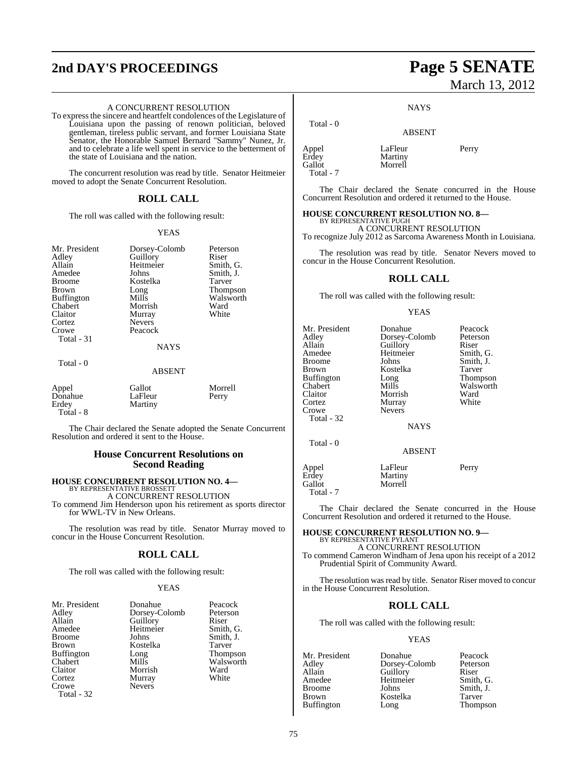## **2nd DAY'S PROCEEDINGS Page 5 SENATE**

### A CONCURRENT RESOLUTION

To express the sincere and heartfelt condolences of the Legislature of Louisiana upon the passing of renown politician, beloved gentleman, tireless public servant, and former Louisiana State Senator, the Honorable Samuel Bernard "Sammy" Nunez, Jr. and to celebrate a life well spent in service to the betterment of the state of Louisiana and the nation.

The concurrent resolution was read by title. Senator Heitmeier moved to adopt the Senate Concurrent Resolution.

### **ROLL CALL**

The roll was called with the following result:

#### YEAS

| Mr. President<br>Adley<br>Allain<br>Amedee<br>Broome<br>Brown<br><b>Buffington</b><br>Chabert<br>Claitor<br>Cortez<br>Crowe<br>Total - 31<br>Total - 0 | Dorsey-Colomb<br>Guillory<br>Heitmeier<br>Johns<br>Kostelka<br>Long<br>Mills<br>Morrish<br>Murray<br><b>Nevers</b><br>Peacock<br><b>NAYS</b> | Peterson<br>Riser<br>Smith, G.<br>Smith, J.<br>Tarver<br>Thompson<br>Walsworth<br>Ward<br>White |
|--------------------------------------------------------------------------------------------------------------------------------------------------------|----------------------------------------------------------------------------------------------------------------------------------------------|-------------------------------------------------------------------------------------------------|
|                                                                                                                                                        | <b>ABSENT</b>                                                                                                                                |                                                                                                 |
| Appel<br>Donahue<br>Erdey<br>Total - 8                                                                                                                 | Gallot<br>LaFleur<br>Martiny                                                                                                                 | Morrell<br>Perry                                                                                |

The Chair declared the Senate adopted the Senate Concurrent Resolution and ordered it sent to the House.

### **House Concurrent Resolutions on Second Reading**

### **HOUSE CONCURRENT RESOLUTION NO. 4—** BY REPRESENTATIVE BROSSETT

A CONCURRENT RESOLUTION To commend Jim Henderson upon his retirement as sports director for WWL-TV in New Orleans.

The resolution was read by title. Senator Murray moved to concur in the House Concurrent Resolution.

### **ROLL CALL**

The roll was called with the following result:

#### YEAS

| Mr. President     | Donahue       | Peacock   |
|-------------------|---------------|-----------|
| Adley             | Dorsey-Colomb | Peterson  |
| Allain            | Guillory      | Riser     |
| Amedee            | Heitmeier     | Smith, G. |
| <b>Broome</b>     | Johns         | Smith, J. |
| <b>Brown</b>      | Kostelka      | Tarver    |
| <b>Buffington</b> | Long          | Thompson  |
| Chabert           | Mills         | Walsworth |
| Claitor           | Morrish       | Ward      |
| Cortez            | Murray        | White     |
| Crowe             | <b>Nevers</b> |           |
| Total - 32        |               |           |

## March 13, 2012

### ABSENT

| Appel     | LaFleur | Perry |
|-----------|---------|-------|
| Erdey     | Martiny |       |
| Gallot    | Morrell |       |
| Total - 7 |         |       |

Total - 0

The Chair declared the Senate concurred in the House Concurrent Resolution and ordered it returned to the House.

### **HOUSE CONCURRENT RESOLUTION NO. 8—**

BY REPRESENTATIVE PUGH A CONCURRENT RESOLUTION To recognize July 2012 as Sarcoma Awareness Month in Louisiana.

The resolution was read by title. Senator Nevers moved to concur in the House Concurrent Resolution.

### **ROLL CALL**

The roll was called with the following result:

### YEAS

| Mr. President       | Donahue            | Peacock   |
|---------------------|--------------------|-----------|
| Adley               | Dorsey-Colomb      | Peterson  |
| Allain              | Guillory           | Riser     |
| Amedee              | Heitmeier          | Smith, G. |
| <b>Broome</b>       | Johns              | Smith, J. |
| Brown               | Kostelka           | Tarver    |
| <b>Buffington</b>   | Long               | Thompson  |
| Chabert             | Mills              | Walsworth |
| Claitor             | Morrish            | Ward      |
| Cortez              | Murray             | White     |
| Crowe<br>Total - 32 | <b>Nevers</b>      |           |
|                     | <b>NAYS</b>        |           |
| Total - 0           | <b>ABSENT</b>      |           |
| Appel<br>Erdey      | LaFleur<br>Martiny | Perry     |
| Gallot              | Morrell            |           |

Total - 7

The Chair declared the Senate concurred in the House Concurrent Resolution and ordered it returned to the House.

### **HOUSE CONCURRENT RESOLUTION NO. 9—** BY REPRESENTATIVE PYLANT

A CONCURRENT RESOLUTION To commend Cameron Windham of Jena upon his receipt of a 2012 Prudential Spirit of Community Award.

The resolution was read by title. Senator Riser moved to concur in the House Concurrent Resolution.

### **ROLL CALL**

The roll was called with the following result:

### YEAS

Mr. President Donahue Peacock<br>Adley Dorsey-Colomb Peterson Adley Dorsey-Colomb Peters<br>Allain Guillory Riser Allain Cuillory Riser<br>Amedee Heitmeier Smith, G. Amedee Heitmeier<br>Broome Johns Broome Johns Smith, J.<br>Brown Kostelka Tarver Kostelka Tarver<br>Long Thompson Buffington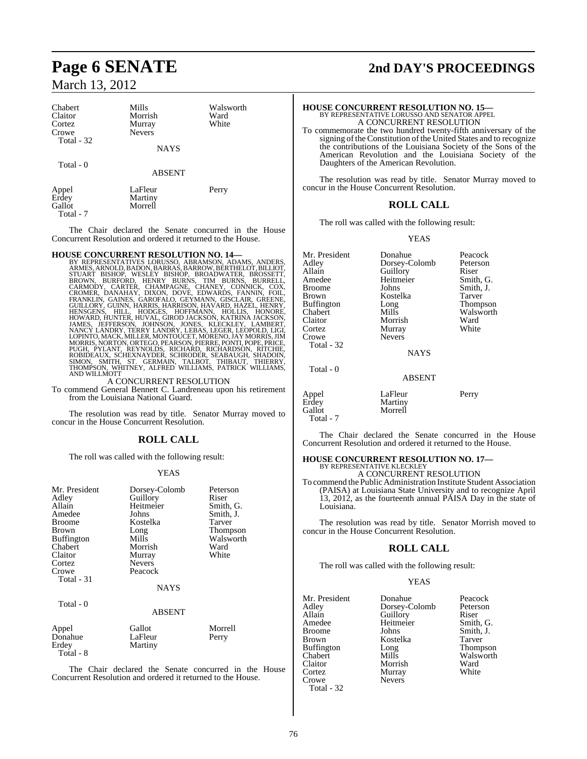### Chabert Mills Walsworth<br>
Claitor Morrish Ward Claitor Morrish Ward Cortez Murray<br>Crowe Nevers Nevers Total - 32 NAYS

Total - 0

Appel LaFleur Perry<br>Erdev Martiny Erdey Martiny<br>
Gallot Morrell Morrell Total - 7

The Chair declared the Senate concurred in the House Concurrent Resolution and ordered it returned to the House.

ABSENT

### **HOUSE CONCURRENT RESOLUTION NO. 14—**

BY REPRESENTATIVES LORUSSO, ABRAMSON, ADAMS, ANDERS, ARMES, ARNOLD,BADON,BARRAS,BARROW,BERTHELOT, BILLIOT, STUART BISHOP, WESLEY BISHOP, BROADWATER, BROSSETT,<br>BROWN, BURFORD, HENRY BURNS, TIM BURNS, BURRELL,<br>CARMODY, CARTER, CHAMPAGNE, CHANEY, CONNICK, COX,<br>CROMER, DANAHAY, DIXON, DOVÉ, EDWARDS, FANNIN, FOIL,<br>FRANKLIN, GAINES,

A CONCURRENT RESOLUTION

To commend General Bennett C. Landreneau upon his retirement from the Louisiana National Guard.

The resolution was read by title. Senator Murray moved to concur in the House Concurrent Resolution.

### **ROLL CALL**

The roll was called with the following result:

### YEAS

| Mr. President<br>Adley<br>Allain<br>Amedee<br><b>Broome</b><br><b>Brown</b><br><b>Buffington</b><br>Chabert<br>Claitor<br>Cortez<br>Crowe<br>Total - 31 | Dorsey-Colomb<br>Guillory<br>Heitmeier<br>Johns<br>Kostelka<br>Long<br>Mills<br>Morrish<br>Murray<br><b>Nevers</b><br>Peacock<br><b>NAYS</b> | Peterson<br>Riser<br>Smith, G.<br>Smith, J.<br>Tarver<br>Thompson<br>Walsworth<br>Ward<br>White |
|---------------------------------------------------------------------------------------------------------------------------------------------------------|----------------------------------------------------------------------------------------------------------------------------------------------|-------------------------------------------------------------------------------------------------|
| Total - 0                                                                                                                                               | <b>ABSENT</b>                                                                                                                                |                                                                                                 |
| Appel<br>Donahue<br>Erdey                                                                                                                               | Gallot<br>LaFleur<br>Martiny                                                                                                                 | Morrell<br>Perry                                                                                |

 $Total - 8$ 

The Chair declared the Senate concurred in the House Concurrent Resolution and ordered it returned to the House.

### **Page 6 SENATE 2nd DAY'S PROCEEDINGS**

| <b>HOUSE CONCURRENT RESOLUTION NO. 15—</b>                        |
|-------------------------------------------------------------------|
| BY REPRESENTATIVE LORUSSO AND SENATOR APPEL                       |
| A CONCURRENT RESOLUTION                                           |
| To commemorate the two hundred twenty-fifth anniversary of the    |
| signing of the Constitution of the United States and to recognize |
| the contributions of the Louisiana Society of the Sons of the     |
| American Revolution and the Louisiana Society of the              |
| Daughters of the American Revolution.                             |
|                                                                   |
|                                                                   |

The resolution was read by title. Senator Murray moved to concur in the House Concurrent Resolution.

### **ROLL CALL**

The roll was called with the following result:

### YEAS

| Mr. President     | Donahue       | Peacock   |
|-------------------|---------------|-----------|
|                   |               |           |
| Adley             | Dorsey-Colomb | Peterson  |
| Allain            | Guillory      | Riser     |
| Amedee            | Heitmeier     | Smith, G. |
| <b>Broome</b>     | Johns         | Smith, J. |
| Brown             | Kostelka      | Tarver    |
| <b>Buffington</b> | Long          | Thompson  |
| Chabert           | Mills         | Walsworth |
| Claitor           | Morrish       | Ward      |
| Cortez            | Murray        | White     |
| Crowe             | <b>Nevers</b> |           |
| Total - 32        |               |           |
|                   | <b>NAYS</b>   |           |
| Total - 0         |               |           |
|                   | ABSENT        |           |
| Appel             | LaFleur       | Perry     |
| Erdey             | Martiny       |           |
| Gallot            | Morrell       |           |
|                   |               |           |

The Chair declared the Senate concurred in the House Concurrent Resolution and ordered it returned to the House.

## **HOUSE CONCURRENT RESOLUTION NO. 17—** BY REPRESENTATIVE KLECKLEY A CONCURRENT RESOLUTION

Total - 7

To commend the PublicAdministration Institute Student Association (PAISA) at Louisiana State University and to recognize April 13, 2012, as the fourteenth annual PAISA Day in the state of Louisiana.

The resolution was read by title. Senator Morrish moved to concur in the House Concurrent Resolution.

### **ROLL CALL**

The roll was called with the following result:

### YEAS

Mr. President Donahue Peacock<br>Adley Dorsey-Colomb Peterson Adley **Dorsey-Colomb** Peters<br>
Allain Guillory Riser Allain Guillory<br>
Amedee Heitmeier Amedee Heitmeier Smith, G.<br>Broome Iohns Smith I Broome Johns Smith, J.<br>Brown Kostelka Tarver Buffington Long<br>Chabert Mills Claitor Morrish Ward Cortez Murray<br>Crowe Nevers Nevers Total - 32

Kostelka Tarver<br>Long Thompson Walsworth<br>Ward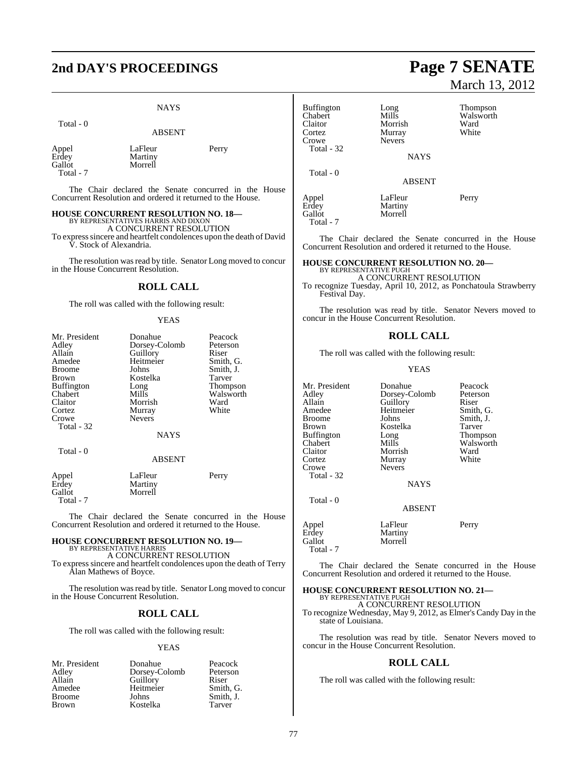## **2nd DAY'S PROCEEDINGS Page 7 SENATE**

### NAYS

| Total - 0                             | <b>ABSENT</b>                 |       |
|---------------------------------------|-------------------------------|-------|
| Appel<br>Erdey<br>Gallot<br>Total - 7 | LaFleur<br>Martiny<br>Morrell | Perry |

The Chair declared the Senate concurred in the House Concurrent Resolution and ordered it returned to the House.

### **HOUSE CONCURRENT RESOLUTION NO. 18—**

BY REPRESENTATIVES HARRIS AND DIXON A CONCURRENT RESOLUTION

To expresssincere and heartfelt condolences upon the death of David

V. Stock of Alexandria.

The resolution was read by title. Senator Long moved to concur in the House Concurrent Resolution.

### **ROLL CALL**

The roll was called with the following result:

### YEAS

| Mr. President<br>Adley<br>Allain<br>Amedee          | Donahue<br>Dorsey-Colomb<br>Guillory<br>Heitmeier | Peacock<br>Peterson<br>Riser<br>Smith, G. |
|-----------------------------------------------------|---------------------------------------------------|-------------------------------------------|
| <b>Broome</b><br>Brown<br><b>Buffington</b>         | Johns<br>Kostelka<br>Long                         | Smith, J.<br>Tarver<br>Thompson           |
| Chabert<br>Claitor<br>Cortez<br>Crowe<br>Total - 32 | Mills<br>Morrish<br>Murray<br><b>Nevers</b>       | Walsworth<br>Ward<br>White                |
| Total - 0                                           | <b>NAYS</b>                                       |                                           |
|                                                     | <b>ABSENT</b>                                     |                                           |
| Appel<br>Erdey<br>Gallot<br>Total - 7               | LaFleur<br>Martiny<br>Morrell                     | Perry                                     |

The Chair declared the Senate concurred in the House Concurrent Resolution and ordered it returned to the House.

#### **HOUSE CONCURRENT RESOLUTION NO. 19—** BY REPRESENTATIVE HARRIS A CONCURRENT RESOLUTION

To express sincere and heartfelt condolences upon the death of Terry Alan Mathews of Boyce.

The resolution was read by title. Senator Long moved to concur in the House Concurrent Resolution.

### **ROLL CALL**

The roll was called with the following result:

### YEAS

| Mr. President | Donahue       | Peacock   |
|---------------|---------------|-----------|
| Adley         | Dorsey-Colomb | Peterson  |
| Allain        | Guillory      | Riser     |
| Amedee        | Heitmeier     | Smith, G. |
| <b>Broome</b> | Johns         | Smith, J. |
| <b>Brown</b>  | Kostelka      | Tarver    |

# March 13, 2012

| <b>Buffington</b><br>Chabert<br>Claitor<br>Cortez<br>Crowe | Long<br>Mills<br>Morrish<br>Murray<br><b>Nevers</b> | <b>Thompson</b><br>Walsworth<br>Ward<br>White |
|------------------------------------------------------------|-----------------------------------------------------|-----------------------------------------------|
| Total - 32                                                 | <b>NAYS</b>                                         |                                               |
| Total - 0                                                  | <b>ABSENT</b>                                       |                                               |
| Appel<br>Erdey<br>Gallot<br>Total - 7                      | LaFleur<br>Martiny<br>Morrell                       | Perry                                         |

The Chair declared the Senate concurred in the House Concurrent Resolution and ordered it returned to the House.

#### **HOUSE CONCURRENT RESOLUTION NO. 20—** BY REPRESENTATIVE PUGH

### A CONCURRENT RESOLUTION

To recognize Tuesday, April 10, 2012, as Ponchatoula Strawberry Festival Day.

The resolution was read by title. Senator Nevers moved to concur in the House Concurrent Resolution.

### **ROLL CALL**

The roll was called with the following result:

### YEAS

| Mr. President<br>Adley<br>Allain<br>Amedee<br><b>Broome</b><br><b>Brown</b><br><b>Buffington</b><br>Chabert<br>Claitor<br>Cortez<br>Crowe<br>Total - 32 | Donahue<br>Dorsey-Colomb<br>Guillory<br>Heitmeier<br>Johns<br>Kostelka<br>Long<br>Mills<br>Morrish<br>Murray<br><b>Nevers</b><br><b>NAYS</b> | Peacock<br>Peterson<br>Riser<br>Smith, G<br>Smith, J.<br>Tarver<br><b>Thomps</b><br>Walswor<br>Ward<br>White |
|---------------------------------------------------------------------------------------------------------------------------------------------------------|----------------------------------------------------------------------------------------------------------------------------------------------|--------------------------------------------------------------------------------------------------------------|
| Total - 0                                                                                                                                               | <b>ABSENT</b>                                                                                                                                |                                                                                                              |
| Appel<br>Erdey<br>Gallot                                                                                                                                | LaFleur<br>Martiny<br>Morrell                                                                                                                | Perry                                                                                                        |

Smith, G. Smith, J. Tarver Thompson Walsworth<br>Ward White

The Chair declared the Senate concurred in the House Concurrent Resolution and ordered it returned to the House.

### **HOUSE CONCURRENT RESOLUTION NO. 21—** BY REPRESENTATIVE PUGH

A CONCURRENT RESOLUTION

To recognize Wednesday, May 9, 2012, as Elmer's Candy Day in the state of Louisiana.

The resolution was read by title. Senator Nevers moved to concur in the House Concurrent Resolution.

### **ROLL CALL**

The roll was called with the following result: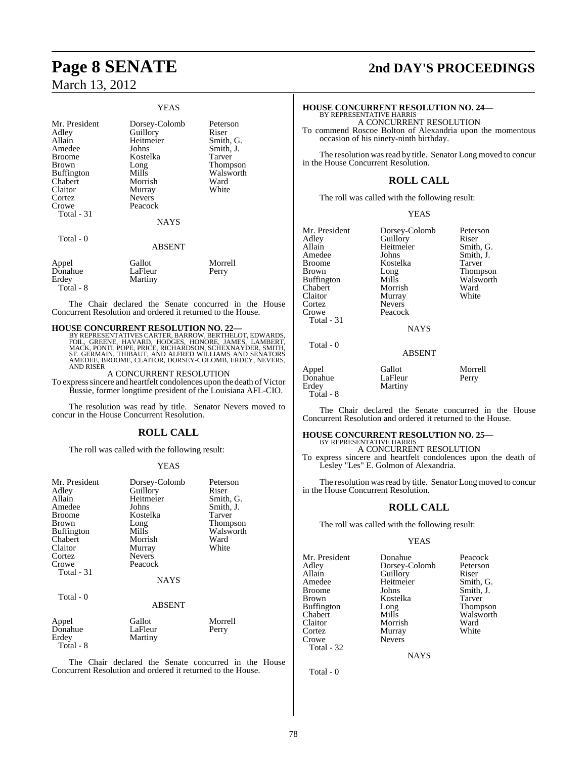### YEAS

| Mr. President<br>Adley<br>Allain<br>Amedee<br><b>Broome</b><br><b>Brown</b><br><b>Buffington</b> | Dorsey-Colomb<br>Guillory<br>Heitmeier<br>Johns<br>Kostelka<br>Long<br>Mills | Peterson<br>Riser<br>Smith, G.<br>Smith, J.<br>Tarver<br>Thompson<br>Walsworth |
|--------------------------------------------------------------------------------------------------|------------------------------------------------------------------------------|--------------------------------------------------------------------------------|
|                                                                                                  |                                                                              |                                                                                |
|                                                                                                  |                                                                              |                                                                                |
| Chabert                                                                                          | Morrish                                                                      | Ward                                                                           |
| Claitor                                                                                          | Murray                                                                       | White                                                                          |
| Cortez                                                                                           | <b>Nevers</b>                                                                |                                                                                |
| Crowe                                                                                            | Peacock                                                                      |                                                                                |
| Total - 31                                                                                       |                                                                              |                                                                                |
|                                                                                                  | <b>NAYS</b>                                                                  |                                                                                |
| Total - 0                                                                                        |                                                                              |                                                                                |
|                                                                                                  | <b>ABSENT</b>                                                                |                                                                                |
| Appel                                                                                            | Gallot                                                                       | Morrell                                                                        |
| Donahue                                                                                          | LaFleur                                                                      | Perry                                                                          |
| Erdey                                                                                            | Martiny                                                                      |                                                                                |

Total - 8

The Chair declared the Senate concurred in the House Concurrent Resolution and ordered it returned to the House.

### **HOUSE CONCURRENT RESOLUTION NO. 22—**

BY REPRESENTATIVES CARTER, BARROW, BERTHELOT, EDWARDS,<br>FOIL, GREENE, HAVARD, HODGES, HONORE, JAMES, LAMBERT,<br>MACK, PONTI, POPE, PRICE, RICHARDSON, SCHEXNAYDER, SMITH,<br>ST. GERMAIN, THIBAUT, AND ALFRED AND RISER

A CONCURRENT RESOLUTION

To expresssincere and heartfelt condolences upon the death of Victor Bussie, former longtime president of the Louisiana AFL-CIO.

The resolution was read by title. Senator Nevers moved to concur in the House Concurrent Resolution.

### **ROLL CALL**

The roll was called with the following result:

#### YEAS

| Gallot<br>Morrell<br>Appel<br>Donahue<br>LaFleur<br>Perry | Mr. President<br>Adley<br>Allain<br>Amedee<br>Broome<br>Brown<br><b>Buffington</b><br>Chabert<br>Claitor<br>Cortez<br>Crowe<br>Total - 31<br>Total - 0 | Dorsey-Colomb<br>Guillory<br>Heitmeier<br>Johns<br>Kostelka<br>Long<br>Mills<br>Morrish<br>Murray<br><b>Nevers</b><br>Peacock<br>NAYS<br>ABSENT | Peterson<br>Riser<br>Smith, G.<br>Smith, J.<br>Tarver<br>Thompson<br>Walsworth<br>Ward<br>White |
|-----------------------------------------------------------|--------------------------------------------------------------------------------------------------------------------------------------------------------|-------------------------------------------------------------------------------------------------------------------------------------------------|-------------------------------------------------------------------------------------------------|
| Erdey<br>Martiny<br>Total - 8                             |                                                                                                                                                        |                                                                                                                                                 |                                                                                                 |

The Chair declared the Senate concurred in the House Concurrent Resolution and ordered it returned to the House.

### **Page 8 SENATE 2nd DAY'S PROCEEDINGS**

### **HOUSE CONCURRENT RESOLUTION NO. 24—** BY REPRESENTATIVE HARRIS

A CONCURRENT RESOLUTION

To commend Roscoe Bolton of Alexandria upon the momentous occasion of his ninety-ninth birthday.

The resolution was read by title. Senator Long moved to concur in the House Concurrent Resolution.

### **ROLL CALL**

The roll was called with the following result:

#### YEAS

| Mr. President | Dorsey-Colomb | Peterson  |
|---------------|---------------|-----------|
|               |               |           |
| Adley         | Guillory      | Riser     |
| Allain        | Heitmeier     | Smith, G. |
| Amedee        | Johns         | Smith, J. |
| Broome        | Kostelka      | Tarver    |
| Brown         | Long          | Thompson  |
| Buffington    | Mills         | Walsworth |
| Chabert       | Morrish       | Ward      |
| Claitor       | Murray        | White     |
| Cortez        | <b>Nevers</b> |           |
| Crowe         | Peacock       |           |
| Total - 31    |               |           |
|               | <b>NAYS</b>   |           |
|               |               |           |

| <b>Peterson</b> |
|-----------------|
| Riser           |
| Smith, G.       |
| Smith, J.       |
| Tarver          |
| Thompson        |
| Walsworth       |
| Ward            |
| White           |
|                 |

### ABSENT

Appel Gallot Morrell Donahue LaFleur Perry Erdey Martiny Total - 8

Total - 0

The Chair declared the Senate concurred in the House Concurrent Resolution and ordered it returned to the House.

### **HOUSE CONCURRENT RESOLUTION NO. 25—**

BY REPRESENTATIVE HARRIS A CONCURRENT RESOLUTION To express sincere and heartfelt condolences upon the death of

Lesley "Les" E. Golmon of Alexandria.

The resolution was read by title. Senator Long moved to concur in the House Concurrent Resolution.

### **ROLL CALL**

The roll was called with the following result:

### YEAS

Mr. President Donahue Peacock<br>Adley Dorsey-Colomb Peterson Adley Dorsey-Colomb Peters<br>Allain Guillory Riser Allain Guillory Riser<br>
Amedee Heitmeier Smith, G. Broome Brown Kostelka Tarver<br>Buffington Long Thompson Buffington Long<br>Chabert Mills Chabert Mills Walsworth<br>Claitor Morrish Ward Claitor Morrish Ward Cortez Murray<br>Crowe Nevers Total - 32

Heitmeier Smith, G.<br>Johns Smith, J. Nevers

**NAYS**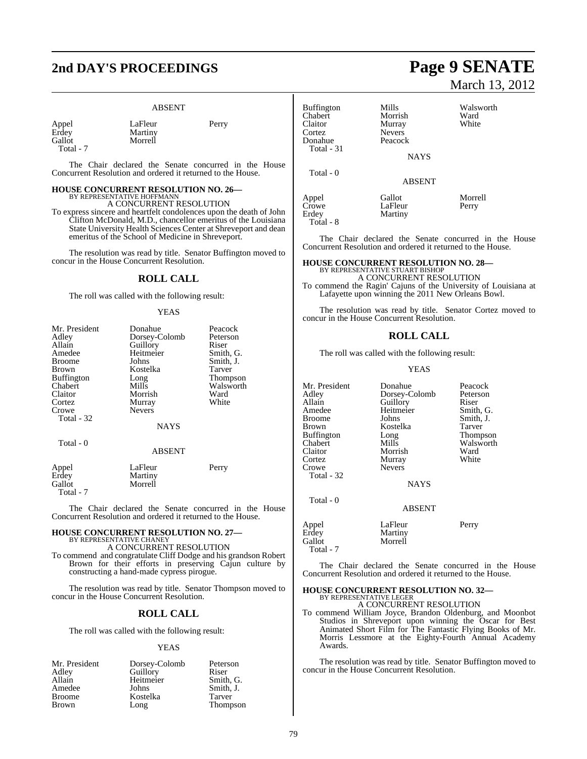### **2nd DAY'S PROCEEDINGS Page 9 SENATE**

### ABSENT

| Appel  |  |
|--------|--|
| Erdey  |  |
| Gallot |  |
| Total  |  |

LaFleur Perry Martiny Morrell

Total - 7

Total - 7

The Chair declared the Senate concurred in the House Concurrent Resolution and ordered it returned to the House.

### **HOUSE CONCURRENT RESOLUTION NO. 26—**

BY REPRESENTATIVE HOFFMANN A CONCURRENT RESOLUTION

To express sincere and heartfelt condolences upon the death of John Clifton McDonald, M.D., chancellor emeritus of the Louisiana State University Health Sciences Center at Shreveport and dean emeritus of the School of Medicine in Shreveport.

The resolution was read by title. Senator Buffington moved to concur in the House Concurrent Resolution.

### **ROLL CALL**

The roll was called with the following result:

### YEAS

| Mr. President     | Donahue       | Peacock   |
|-------------------|---------------|-----------|
| Adley             | Dorsey-Colomb | Peterson  |
| Allain            | Guillory      | Riser     |
| Amedee            | Heitmeier     | Smith, G. |
| <b>Broome</b>     | Johns         | Smith, J. |
| Brown             | Kostelka      | Tarver    |
| <b>Buffington</b> | Long          | Thompson  |
| Chabert           | Mills         | Walsworth |
| Claitor           | Morrish       | Ward      |
| Cortez            | Murray        | White     |
| Crowe             | <b>Nevers</b> |           |
| Total - 32        |               |           |
|                   | NAYS          |           |
| Total - 0         |               |           |
|                   | <b>ABSENT</b> |           |
| Appel             | LaFleur       | Perry     |
| Erdey             | Martiny       |           |
| Gallot            | Morrell       |           |

The Chair declared the Senate concurred in the House Concurrent Resolution and ordered it returned to the House.

### **HOUSE CONCURRENT RESOLUTION NO. 27—** BY REPRESENTATIVE CHANEY

A CONCURRENT RESOLUTION

To commend and congratulate Cliff Dodge and his grandson Robert Brown for their efforts in preserving Cajun culture by constructing a hand-made cypress pirogue.

The resolution was read by title. Senator Thompson moved to concur in the House Concurrent Resolution.

### **ROLL CALL**

The roll was called with the following result:

### YEAS

| Mr. President | Dorsey-Colomb | Peterson        |
|---------------|---------------|-----------------|
| Adley         | Guillory      | Riser           |
| Allain        | Heitmeier     | Smith, G.       |
| Amedee        | Johns         | Smith, J.       |
| <b>Broome</b> | Kostelka      | Tarver          |
| <b>Brown</b>  | Long          | <b>Thompson</b> |

## March 13, 2012

| Mills<br>Morrish<br>Murray<br><b>Nevers</b> | Walsworth<br>Ward<br>White |
|---------------------------------------------|----------------------------|
| Peacock                                     |                            |
|                                             |                            |
| <b>NAYS</b>                                 |                            |
|                                             |                            |
| <b>ABSENT</b>                               |                            |
| Gallot<br>LaFleur<br>Martiny                | Morrell<br>Perry           |
|                                             |                            |

Total - 8

The Chair declared the Senate concurred in the House Concurrent Resolution and ordered it returned to the House.

### **HOUSE CONCURRENT RESOLUTION NO. 28—**

BY REPRESENTATIVE STUART BISHOP A CONCURRENT RESOLUTION To commend the Ragin' Cajuns of the University of Louisiana at Lafayette upon winning the 2011 New Orleans Bowl.

The resolution was read by title. Senator Cortez moved to concur in the House Concurrent Resolution.

### **ROLL CALL**

The roll was called with the following result:

#### YEAS

| Mr. President<br>Adley<br>Allain<br>Amedee<br>Broome<br>Brown<br><b>Buffington</b><br>Chabert<br>Claitor<br>Cortez<br>Crowe<br>Total - 32<br>Total - 0 | Donahue<br>Dorsey-Colomb<br>Guillory<br>Heitmeier<br>Johns<br>Kostelka<br>Long<br>Mills<br>Morrish<br>Murray<br><b>Nevers</b><br><b>NAYS</b> | Peacock<br>Peterson<br>Riser<br>Smith, G.<br>Smith, J.<br>Tarver<br>Thompson<br>Walsworth<br>Ward<br>White |
|--------------------------------------------------------------------------------------------------------------------------------------------------------|----------------------------------------------------------------------------------------------------------------------------------------------|------------------------------------------------------------------------------------------------------------|
|                                                                                                                                                        | <b>ABSENT</b>                                                                                                                                |                                                                                                            |
| Appel<br>Erdey<br>Gallot<br>Total - 7                                                                                                                  | LaFleur<br>Martiny<br>Morrell                                                                                                                | Perry                                                                                                      |

The Chair declared the Senate concurred in the House Concurrent Resolution and ordered it returned to the House.

### **HOUSE CONCURRENT RESOLUTION NO. 32—** BY REPRESENTATIVE LEGER

A CONCURRENT RESOLUTION

To commend William Joyce, Brandon Oldenburg, and Moonbot Studios in Shreveport upon winning the Oscar for Best Animated Short Film for The Fantastic Flying Books of Mr. Morris Lessmore at the Eighty-Fourth Annual Academy Awards.

The resolution was read by title. Senator Buffington moved to concur in the House Concurrent Resolution.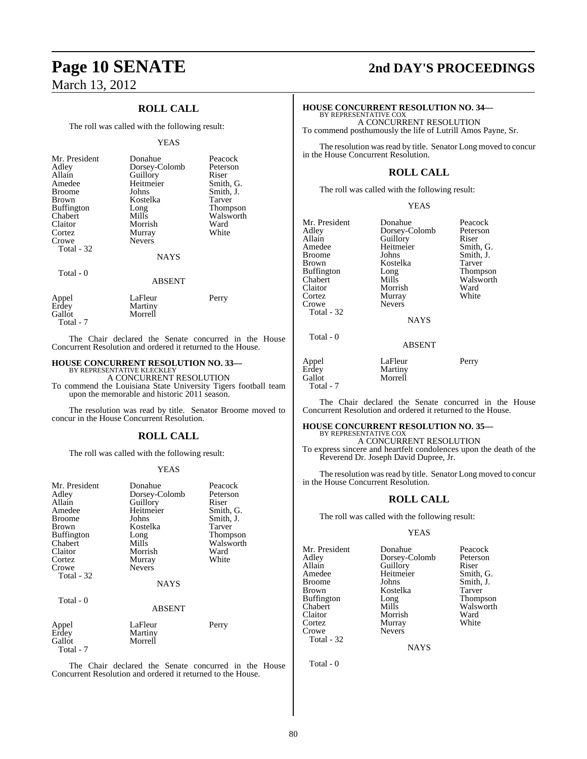### **Page 10 SENATE 2nd DAY'S PROCEEDINGS** March 13, 2012

### **ROLL CALL**

The roll was called with the following result:

#### YEAS

| Mr. President<br>Adley<br>Allain<br>Amedee<br><b>Broome</b><br><b>Brown</b><br><b>Buffington</b><br>Chabert<br>Claitor<br>Cortez<br>Crowe<br>Total - 32<br>Total - 0 | Donahue<br>Dorsey-Colomb<br>Guillory<br>Heitmeier<br>Johns<br>Kostelka<br>Long<br>Mills<br>Morrish<br>Murray<br><b>Nevers</b><br><b>NAYS</b><br><b>ABSENT</b> | Peacock<br>Peterson<br>Riser<br>Smith, G.<br>Smith, J.<br>Tarver<br>Thompson<br>Walsworth<br>Ward<br>White |
|----------------------------------------------------------------------------------------------------------------------------------------------------------------------|---------------------------------------------------------------------------------------------------------------------------------------------------------------|------------------------------------------------------------------------------------------------------------|
| Appel<br>Erdey<br>Gallot                                                                                                                                             | LaFleur<br>Martiny<br>Morrell                                                                                                                                 | Perry                                                                                                      |

The Chair declared the Senate concurred in the House Concurrent Resolution and ordered it returned to the House.

### **HOUSE CONCURRENT RESOLUTION NO. 33—**

Total - 7

BY REPRESENTATIVE KLECKLEY A CONCURRENT RESOLUTION

To commend the Louisiana State University Tigers football team upon the memorable and historic 2011 season.

The resolution was read by title. Senator Broome moved to concur in the House Concurrent Resolution.

### **ROLL CALL**

The roll was called with the following result:

### YEAS

| Mr. President<br>Adley<br>Allain<br>Amedee<br>Broome<br>Brown<br><b>Buffington</b><br>Chabert<br>Claitor<br>Cortez<br>Crowe<br>Total - 32<br>Total - 0 | Donahue<br>Dorsey-Colomb<br>Guillory<br>Heitmeier<br>Johns<br>Kostelka<br>Long<br>Mills<br>Morrish<br>Murray<br><b>Nevers</b><br><b>NAYS</b><br><b>ABSENT</b> | Peacock<br>Peterson<br>Riser<br>Smith, G.<br>Smith, J.<br>Tarver<br><b>Thompson</b><br>Walsworth<br>Ward<br>White |
|--------------------------------------------------------------------------------------------------------------------------------------------------------|---------------------------------------------------------------------------------------------------------------------------------------------------------------|-------------------------------------------------------------------------------------------------------------------|
|                                                                                                                                                        |                                                                                                                                                               |                                                                                                                   |
| Appel<br>Erdey<br>Gallot<br>Total - 7                                                                                                                  | LaFleur<br>Martiny<br>Morrell                                                                                                                                 | Perry                                                                                                             |

The Chair declared the Senate concurred in the House Concurrent Resolution and ordered it returned to the House.

### **HOUSE CONCURRENT RESOLUTION NO. 34—** BY REPRESENTATIVE COX

A CONCURRENT RESOLUTION To commend posthumously the life of Lutrill Amos Payne, Sr.

The resolution was read by title. Senator Long moved to concur in the House Concurrent Resolution.

### **ROLL CALL**

The roll was called with the following result:

YEAS

Mr. President Donahue Peacock<br>Adley Dorsey-Colomb Peterson Adley Dorsey-Colomb Peters<br>Allain Guillory Riser Allain Guillory<br>Amedee Heitmeier Amedee Heitmeier Smith, G.<br>Broome Johns Smith, J. Broome Johns Smith, J.<br>Brown Kostelka Tarver Buffington Chabert Mills Walsworth<br>Claitor Morrish Ward Claitor Morrish Ward Cortez Murray<br>Crowe Nevers Nevers Total - 32

Kostelka Tarver<br>Long Thompson

### **NAYS**

ABSENT

Appel LaFleur Perry<br>Erdey Martiny Erdey Martiny<br>Gallot Morrell Morrell Total - 7

Total - 0

The Chair declared the Senate concurred in the House Concurrent Resolution and ordered it returned to the House.

### **HOUSE CONCURRENT RESOLUTION NO. 35—** BY REPRESENTATIVE COX

A CONCURRENT RESOLUTION

To express sincere and heartfelt condolences upon the death of the Reverend Dr. Joseph David Dupree, Jr.

The resolution was read by title. Senator Long moved to concur in the House Concurrent Resolution.

### **ROLL CALL**

The roll was called with the following result:

### YEAS

Mr. President Donahue Peacock<br>Adley Dorsey-Colomb Peterson Adley Dorsey-Colomb Peters<br>Allain Guillory Riser Allain Guillory Riser<br>
Amedee Heitmeier Smith, G. Amedee Heitmeier<br>Broome Johns Broome Johns Smith, J.<br>Brown Kostelka Tarver Kostelka Buffington Long Thompson<br>Chabert Mills Walsworth Chabert Mills Walsworth<br>Claitor Morrish Ward Claitor Morrish Ward Cortez Murray<br>Crowe Nevers **Nevers** Total - 32

**NAYS**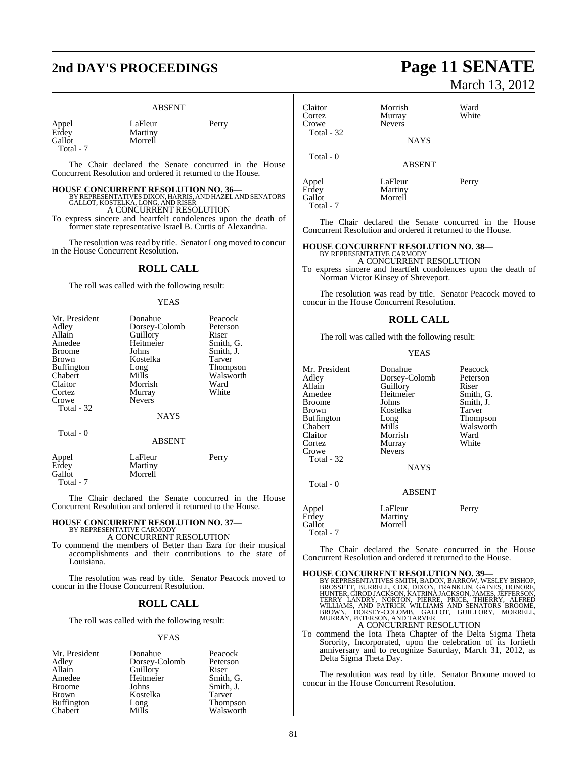### **2nd DAY'S PROCEEDINGS Page 11 SENATE**

### ABSENT

LaFleur Perry

| Appel   |  |  |
|---------|--|--|
| Erdey   |  |  |
| Gallot  |  |  |
| $T - 1$ |  |  |

Martiny Morrell

Total - 7

Total - 7

The Chair declared the Senate concurred in the House Concurrent Resolution and ordered it returned to the House.

### **HOUSE CONCURRENT RESOLUTION NO. 36—**

BY REPRESENTATIVES DIXON, HARRIS, AND HAZEL AND SENATORS GALLOT, KOSTELKA, LONG, AND RISER A CONCURRENT RESOLUTION

To express sincere and heartfelt condolences upon the death of former state representative Israel B. Curtis of Alexandria.

The resolution was read by title. Senator Long moved to concur in the House Concurrent Resolution.

### **ROLL CALL**

The roll was called with the following result:

### YEAS

| Mr. President     | Donahue       | Peacock   |
|-------------------|---------------|-----------|
| Adley             | Dorsey-Colomb | Peterson  |
| Allain            | Guillory      | Riser     |
| Amedee            | Heitmeier     | Smith, G. |
| <b>Broome</b>     | Johns         | Smith, J. |
| <b>Brown</b>      | Kostelka      | Tarver    |
| <b>Buffington</b> | Long          | Thompson  |
| Chabert           | Mills         | Walsworth |
| Claitor           | Morrish       | Ward      |
| Cortez            | Murray        | White     |
| Crowe             | <b>Nevers</b> |           |
| Total - 32        |               |           |
|                   | <b>NAYS</b>   |           |
| Total - 0         |               |           |
|                   | <b>ABSENT</b> |           |
| Appel             | LaFleur       | Perry     |
| Erdey             | Martiny       |           |
| Gallot            | Morrell       |           |

The Chair declared the Senate concurred in the House Concurrent Resolution and ordered it returned to the House.

### **HOUSE CONCURRENT RESOLUTION NO. 37—** BY REPRESENTATIVE CARMODY

A CONCURRENT RESOLUTION

To commend the members of Better than Ezra for their musical accomplishments and their contributions to the state of Louisiana.

The resolution was read by title. Senator Peacock moved to concur in the House Concurrent Resolution.

### **ROLL CALL**

The roll was called with the following result:

#### YEAS

| Mr. President     | Donahue       | Peacock         |
|-------------------|---------------|-----------------|
| Adley             | Dorsey-Colomb | Peterson        |
| Allain            | Guillory      | Riser           |
| Amedee            | Heitmeier     | Smith, G.       |
| <b>Broome</b>     | Johns         | Smith, J.       |
| <b>Brown</b>      | Kostelka      | Tarver          |
| <b>Buffington</b> | Long          | <b>Thompson</b> |
| Chabert           | Mills         | Walsworth       |

## March 13, 2012

| Claitor<br>Cortez<br>Crowe | Morrish<br>Murray<br><b>Nevers</b> | Ward<br>White |  |
|----------------------------|------------------------------------|---------------|--|
| Total - 32                 | <b>NAYS</b>                        |               |  |
| Total - 0                  | <b>ABSENT</b>                      |               |  |
| Appel<br>Erdey<br>Gallot   | LaFleur<br>Martiny<br>Morrell      | Perry         |  |

Gallot Total - 7

The Chair declared the Senate concurred in the House Concurrent Resolution and ordered it returned to the House.

### **HOUSE CONCURRENT RESOLUTION NO. 38—** BY REPRESENTATIVE CARMODY

A CONCURRENT RESOLUTION

To express sincere and heartfelt condolences upon the death of Norman Victor Kinsey of Shreveport.

The resolution was read by title. Senator Peacock moved to concur in the House Concurrent Resolution.

### **ROLL CALL**

The roll was called with the following result:

#### YEAS

| Mr. President     | Donahue       | Peacock   |
|-------------------|---------------|-----------|
| Adley             | Dorsey-Colomb | Peterson  |
| Allain            | Guillory      | Riser     |
| Amedee            | Heitmeier     | Smith, G. |
| <b>Broome</b>     | Johns         | Smith, J. |
| <b>Brown</b>      | Kostelka      | Tarver    |
| <b>Buffington</b> | Long          | Thompson  |
| Chabert           | Mills         | Walsworth |
| Claitor           | Morrish       | Ward      |
| Cortez            | Murray        | White     |
| Crowe             | <b>Nevers</b> |           |
| Total - 32        |               |           |
|                   | <b>NAYS</b>   |           |
|                   |               |           |

Total - 0

ABSENT

| Appel     | LaFleur | Perry |
|-----------|---------|-------|
| Erdey     | Martiny |       |
| Gallot    | Morrell |       |
| Total - 7 |         |       |

The Chair declared the Senate concurred in the House Concurrent Resolution and ordered it returned to the House.

#### **HOUSE CONCURRENT RESOLUTION NO. 39—**

BY REPRESENTATIVES SMITH, BADON, BARROW, WESLEY BISHOP, BROSSETT, BURRELL, COX, DIXON, FRANKLIN, GAINES, HONORE, HUNTER, GROD JACKSON, KATRINA JACKSON, JAMES, JEFFERSON, TERRY LANDRY, NORTON, PIERRE, PRICE, THIERRY, ALFRED

To commend the Iota Theta Chapter of the Delta Sigma Theta Sorority, Incorporated, upon the celebration of its fortieth anniversary and to recognize Saturday, March 31, 2012, as Delta Sigma Theta Day.

The resolution was read by title. Senator Broome moved to concur in the House Concurrent Resolution.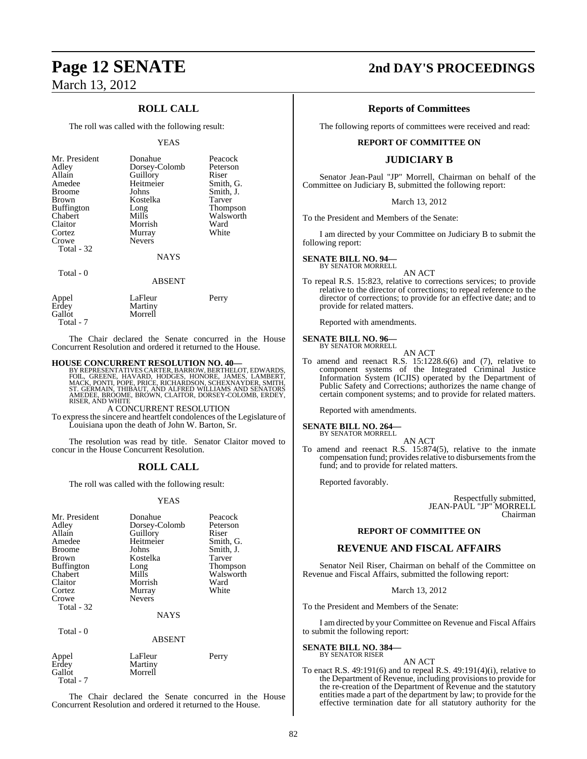### **ROLL CALL**

The roll was called with the following result:

#### YEAS

| Mr. President<br>Adley<br>Allain<br>Amedee<br><b>Broome</b><br>Brown<br><b>Buffington</b><br>Chabert<br>Claitor<br>Cortez<br>Crowe<br>Total - 32<br>Total - 0 | Donahue<br>Dorsey-Colomb<br>Guillory<br>Heitmeier<br>Johns<br>Kostelka<br>Long<br>Mills<br>Morrish<br>Murray<br><b>Nevers</b><br><b>NAYS</b><br><b>ABSENT</b> | Peacock<br>Peterson<br>Riser<br>Smith, G.<br>Smith, J.<br>Tarver<br>Thompson<br>Walsworth<br>Ward<br>White |
|---------------------------------------------------------------------------------------------------------------------------------------------------------------|---------------------------------------------------------------------------------------------------------------------------------------------------------------|------------------------------------------------------------------------------------------------------------|
| Appel<br>Erdey<br>Gallot                                                                                                                                      | LaFleur<br>Martiny<br>Morrell                                                                                                                                 | Perry                                                                                                      |

The Chair declared the Senate concurred in the House Concurrent Resolution and ordered it returned to the House.

### **HOUSE CONCURRENT RESOLUTION NO. 40—**

Total - 7

BY REPRESENTATIVES CARTER, BARROW, BERTHELOT, EDWARDS,<br>FOIL, GREENE, HAVARD, HODGES, HONORE, JAMES, LAMBERT,<br>MACK, PONTI, POPE, PRICE, RICHARDSON, SCHEXNAYDER, SMITH,<br>ST. GERMAIN, THIBAUT, AND ALFRED WILLIAMS AND SENATORS<br>

A CONCURRENT RESOLUTION

To expressthe sincere and heartfelt condolences of the Legislature of Louisiana upon the death of John W. Barton, Sr.

The resolution was read by title. Senator Claitor moved to concur in the House Concurrent Resolution.

### **ROLL CALL**

The roll was called with the following result:

#### YEAS

| Mr. President<br>Adley<br>Allain<br>Amedee<br><b>Broome</b><br>Brown<br><b>Buffington</b><br>Chabert<br>Claitor<br>Cortez<br>Crowe<br>Total - 32 | Donahue<br>Dorsey-Colomb<br>Guillory<br>Heitmeier<br>Johns<br>Kostelka<br>Long<br>Mills<br>Morrish<br>Murray<br><b>Nevers</b><br><b>NAYS</b> | Peacock<br>Peterson<br>Riser<br>Smith, G.<br>Smith, J.<br>Tarver<br>Thompson<br>Walsworth<br>Ward<br>White |
|--------------------------------------------------------------------------------------------------------------------------------------------------|----------------------------------------------------------------------------------------------------------------------------------------------|------------------------------------------------------------------------------------------------------------|
| Total - 0                                                                                                                                        | <b>ABSENT</b>                                                                                                                                |                                                                                                            |
| Appel                                                                                                                                            | LaFleur                                                                                                                                      | Perry                                                                                                      |

Morrell

Erdey Martiny<br>
Gallot Morrell

Total - 7

The Chair declared the Senate concurred in the House Concurrent Resolution and ordered it returned to the House.

### **Page 12 SENATE 2nd DAY'S PROCEEDINGS**

### **Reports of Committees**

The following reports of committees were received and read:

### **REPORT OF COMMITTEE ON**

### **JUDICIARY B**

Senator Jean-Paul "JP" Morrell, Chairman on behalf of the Committee on Judiciary B, submitted the following report:

#### March 13, 2012

To the President and Members of the Senate:

I am directed by your Committee on Judiciary B to submit the following report:

### **SENATE BILL NO. 94—** BY SENATOR MORRELL

AN ACT To repeal R.S. 15:823, relative to corrections services; to provide relative to the director of corrections; to repeal reference to the director of corrections; to provide for an effective date; and to provide for related matters.

Reported with amendments.

### **SENATE BILL NO. 96—** BY SENATOR MORRELL



To amend and reenact R.S. 15:1228.6(6) and (7), relative to component systems of the Integrated Criminal Justice Information System (ICJIS) operated by the Department of Public Safety and Corrections; authorizes the name change of certain component systems; and to provide for related matters.

Reported with amendments.

**SENATE BILL NO. 264—** BY SENATOR MORRELL

AN ACT

To amend and reenact R.S. 15:874(5), relative to the inmate compensation fund; provides relative to disbursements from the fund; and to provide for related matters.

Reported favorably.

Respectfully submitted, JEAN-PAUL "JP" MORRELL Chairman

### **REPORT OF COMMITTEE ON**

### **REVENUE AND FISCAL AFFAIRS**

Senator Neil Riser, Chairman on behalf of the Committee on Revenue and Fiscal Affairs, submitted the following report:

March 13, 2012

To the President and Members of the Senate:

I am directed by your Committee on Revenue and Fiscal Affairs to submit the following report:

### **SENATE BILL NO. 384—**

### BY SENATOR RISER

To enact R.S. 49:191(6) and to repeal R.S. 49:191(4)(i), relative to the Department of Revenue, including provisionsto provide for the re-creation of the Department of Revenue and the statutory entities made a part of the department by law; to provide for the effective termination date for all statutory authority for the

AN ACT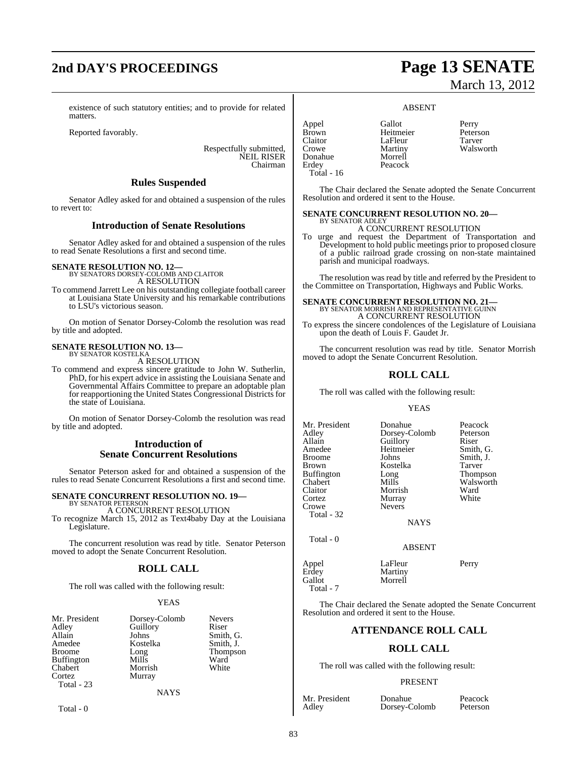## **2nd DAY'S PROCEEDINGS Page 13 SENATE**

existence of such statutory entities; and to provide for related matters.

Reported favorably.

Respectfully submitted, NEIL RISER Chairman

### **Rules Suspended**

Senator Adley asked for and obtained a suspension of the rules to revert to:

### **Introduction of Senate Resolutions**

Senator Adley asked for and obtained a suspension of the rules to read Senate Resolutions a first and second time.

### **SENATE RESOLUTION NO. 12—** BY SENATORS DORSEY-COLOMB AND CLAITOR

A RESOLUTION

To commend Jarrett Lee on his outstanding collegiate football career at Louisiana State University and his remarkable contributions to LSU's victorious season.

On motion of Senator Dorsey-Colomb the resolution was read by title and adopted.

#### **SENATE RESOLUTION NO. 13—** BY SENATOR KOSTELKA

A RESOLUTION

To commend and express sincere gratitude to John W. Sutherlin, PhD, for his expert advice in assisting the Louisiana Senate and Governmental Affairs Committee to prepare an adoptable plan for reapportioning the United States Congressional Districts for the state of Louisiana.

On motion of Senator Dorsey-Colomb the resolution was read by title and adopted.

### **Introduction of Senate Concurrent Resolutions**

Senator Peterson asked for and obtained a suspension of the rules to read Senate Concurrent Resolutions a first and second time.

### **SENATE CONCURRENT RESOLUTION NO. 19—** BY SENATOR PETERSON

A CONCURRENT RESOLUTION

To recognize March 15, 2012 as Text4baby Day at the Louisiana Legislature.

The concurrent resolution was read by title. Senator Peterson moved to adopt the Senate Concurrent Resolution.

### **ROLL CALL**

The roll was called with the following result:

### YEAS

| Mr. President     |
|-------------------|
| Adley             |
| Allain            |
| Amedee            |
| <b>Broome</b>     |
| <b>Buffington</b> |
| Chabert           |
| Cortez            |
| Total - 23        |
|                   |

Dorsey-Colomb Guillory<br>Johns Allain Johns Smith, G. Kostelka Long Mills Morrish Murray

| <b>Nevers</b> |
|---------------|
| Riser         |
| Smith, G.     |
| Smith, J.     |
| Thompson      |
| Ward          |
| White         |
|               |

Total - 0

# March 13, 2012

### ABSENT

Appel Gallot Perry Claitor LaFleur<br>Crowe Martiny Donahue<br>Erdev Total - 16

Heitmeier Petersc<br>LaFleur Tarver Martiny Walsworth<br>Morrell Peacock

The Chair declared the Senate adopted the Senate Concurrent Resolution and ordered it sent to the House.

### **SENATE CONCURRENT RESOLUTION NO. 20—**

BY SENATOR ADLEY A CONCURRENT RESOLUTION

To urge and request the Department of Transportation and Development to hold public meetings prior to proposed closure of a public railroad grade crossing on non-state maintained parish and municipal roadways.

The resolution was read by title and referred by the President to the Committee on Transportation, Highways and Public Works.

### **SENATE CONCURRENT RESOLUTION NO. 21—** BY SENATOR MORRISH AND REPRESENTATIVE GUINN

A CONCURRENT RESOLUTION

To express the sincere condolences of the Legislature of Louisiana upon the death of Louis F. Gaudet Jr.

The concurrent resolution was read by title. Senator Morrish moved to adopt the Senate Concurrent Resolution.

### **ROLL CALL**

The roll was called with the following result:

### YEAS

| Mr. President<br>Adley<br>Allain<br>Amedee<br><b>Broome</b><br><b>Brown</b><br><b>Buffington</b><br>Chabert<br>Claitor<br>Cortez<br>Crowe | Donahue<br>Dorsey-Colomb<br>Guillory<br>Heitmeier<br>Johns<br>Kostelka<br>Long<br>Mills<br>Morrish<br>Murray<br><b>Nevers</b> | Peacock<br>Peterson<br>Riser<br>Smith, G.<br>Smith, J.<br>Tarver<br>Thompson<br>Walsworth<br>Ward<br>White |
|-------------------------------------------------------------------------------------------------------------------------------------------|-------------------------------------------------------------------------------------------------------------------------------|------------------------------------------------------------------------------------------------------------|
| Total - 32                                                                                                                                |                                                                                                                               |                                                                                                            |

Total - 0

NAYS

### ABSENT

Appel LaFleur Perry<br>Erdey Martiny Erdey Martiny<br>Gallot Morrell Morrell Total - 7

The Chair declared the Senate adopted the Senate Concurrent Resolution and ordered it sent to the House.

### **ATTENDANCE ROLL CALL**

### **ROLL CALL**

The roll was called with the following result:

### PRESENT

Mr. President Donahue Peacock<br>Adley Dorsey-Colomb Peterson Dorsey-Colomb